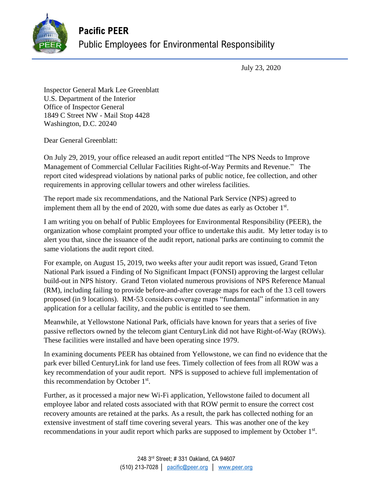

## **Pacific PEER** Public Employees for Environmental Responsibility

July 23, 2020

Inspector General Mark Lee Greenblatt U.S. Department of the Interior Office of Inspector General 1849 C Street NW - Mail Stop 4428 Washington, D.C. 20240

Dear General Greenblatt:

On July 29, 2019, your office released an audit report entitled "The NPS Needs to Improve Management of Commercial Cellular Facilities Right-of-Way Permits and Revenue." The report cited widespread violations by national parks of public notice, fee collection, and other requirements in approving cellular towers and other wireless facilities.

The report made six recommendations, and the National Park Service (NPS) agreed to implement them all by the end of 2020, with some due dates as early as October  $1<sup>st</sup>$ .

I am writing you on behalf of Public Employees for Environmental Responsibility (PEER), the organization whose complaint prompted your office to undertake this audit. My letter today is to alert you that, since the issuance of the audit report, national parks are continuing to commit the same violations the audit report cited.

For example, on August 15, 2019, two weeks after your audit report was issued, Grand Teton National Park issued a Finding of No Significant Impact (FONSI) approving the largest cellular build-out in NPS history. Grand Teton violated numerous provisions of NPS Reference Manual (RM), including failing to provide before-and-after coverage maps for each of the 13 cell towers proposed (in 9 locations). RM-53 considers coverage maps "fundamental" information in any application for a cellular facility, and the public is entitled to see them.

Meanwhile, at Yellowstone National Park, officials have known for years that a series of five passive reflectors owned by the telecom giant CenturyLink did not have Right-of-Way (ROWs). These facilities were installed and have been operating since 1979.

In examining documents PEER has obtained from Yellowstone, we can find no evidence that the park ever billed CenturyLink for land use fees. Timely collection of fees from all ROW was a key recommendation of your audit report. NPS is supposed to achieve full implementation of this recommendation by October  $1<sup>st</sup>$ .

Further, as it processed a major new Wi-Fi application, Yellowstone failed to document all employee labor and related costs associated with that ROW permit to ensure the correct cost recovery amounts are retained at the parks. As a result, the park has collected nothing for an extensive investment of staff time covering several years. This was another one of the key recommendations in your audit report which parks are supposed to implement by October 1<sup>st</sup>.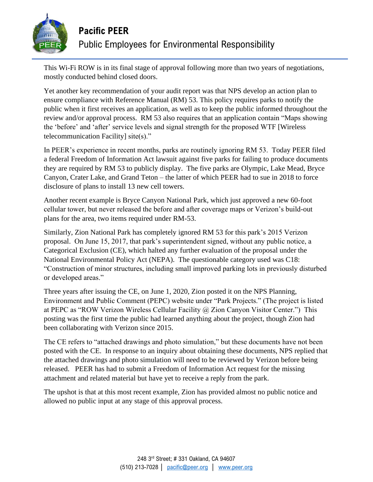

This Wi-Fi ROW is in its final stage of approval following more than two years of negotiations, mostly conducted behind closed doors.

Yet another key recommendation of your audit report was that NPS develop an action plan to ensure compliance with Reference Manual (RM) 53. This policy requires parks to notify the public when it first receives an application, as well as to keep the public informed throughout the review and/or approval process. RM 53 also requires that an application contain "Maps showing the 'before' and 'after' service levels and signal strength for the proposed WTF [Wireless telecommunication Facility] site(s)."

In PEER's experience in recent months, parks are routinely ignoring RM 53. Today PEER filed a federal Freedom of Information Act lawsuit against five parks for failing to produce documents they are required by RM 53 to publicly display. The five parks are Olympic, Lake Mead, Bryce Canyon, Crater Lake, and Grand Teton – the latter of which PEER had to sue in 2018 to force disclosure of plans to install 13 new cell towers.

Another recent example is Bryce Canyon National Park, which just approved a new 60-foot cellular tower, but never released the before and after coverage maps or Verizon's build-out plans for the area, two items required under RM-53.

Similarly, Zion National Park has completely ignored RM 53 for this park's 2015 Verizon proposal. On June 15, 2017, that park's superintendent signed, without any public notice, a Categorical Exclusion (CE), which halted any further evaluation of the proposal under the National Environmental Policy Act (NEPA). The questionable category used was C18: "Construction of minor structures, including small improved parking lots in previously disturbed or developed areas."

Three years after issuing the CE, on June 1, 2020, Zion posted it on the NPS Planning, Environment and Public Comment (PEPC) website under "Park Projects." (The project is listed at PEPC as "ROW Verizon Wireless Cellular Facility @ Zion Canyon Visitor Center.") This posting was the first time the public had learned anything about the project, though Zion had been collaborating with Verizon since 2015.

The CE refers to "attached drawings and photo simulation," but these documents have not been posted with the CE. In response to an inquiry about obtaining these documents, NPS replied that the attached drawings and photo simulation will need to be reviewed by Verizon before being released. PEER has had to submit a Freedom of Information Act request for the missing attachment and related material but have yet to receive a reply from the park.

The upshot is that at this most recent example, Zion has provided almost no public notice and allowed no public input at any stage of this approval process.